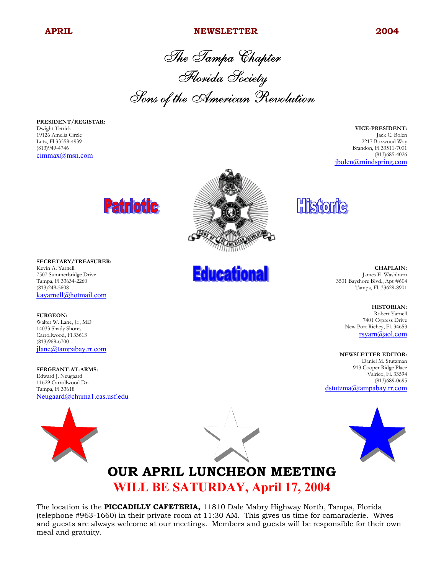#### **APRIL NEWSLETTER 2004**

The Tampa Chapter Florida Society Sons of the American Revolution

**PRESIDENT/REGISTAR:** Dwight Tetrick 19126 Amelia Circle Lutz, Fl 33558-4939 (813)949-4746 cimmax@msn.com

**VICE-PRESIDENT:** Jack C. Bolen 2217 Boxwood Way Brandon, Fl 33511-7001 (813)685-4026 jbolen@mindspring.com





**SURGEON:** Walter W. Lane, Jr., MD 14033 Shady Shores Carrollwood, Fl 33613 (813)968-6700 jlane@tampabay.rr.com

**SERGEANT-AT-ARMS:** Edward J. Neugaard 11629 Carrollwood Dr. Tampa, Fl 33618 Neugaard@chuma1.cas.usf.edu





**Educational** 



## **OUR APRIL LUNCHEON MEETING WILL BE SATURDAY, April 17, 2004**

The location is the **PICCADILLY CAFETERIA,** 11810 Dale Mabry Highway North, Tampa, Florida (telephone #963-1660) in their private room at 11:30 AM. This gives us time for camaraderie. Wives and guests are always welcome at our meetings. Members and guests will be responsible for their own meal and gratuity.

**Historic** 

**CHAPLAIN:** James E. Washburn 3501 Bayshore Blvd., Apt #604 Tampa, Fl. 33629-8901

> **HISTORIAN:** Robert Yarnell 7401 Cypress Drive

New Port Richey, Fl. 34653 rsyarn@aol.com

#### **NEWSLETTER EDITOR:**

Daniel M. Stutzman 913 Cooper Ridge Place Valrico, Fl. 33594 (813)689-0695 dstutzma@tampabay.rr.com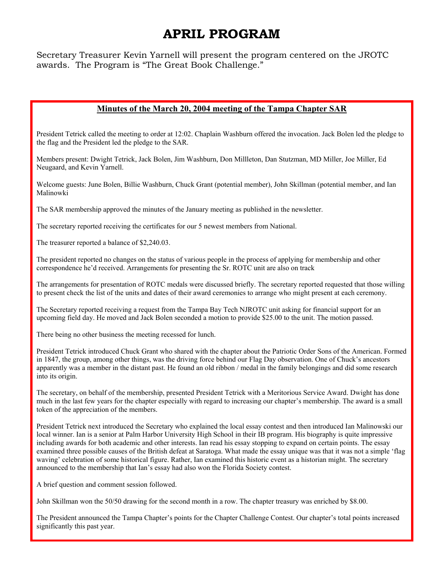## **APRIL PROGRAM**

Secretary Treasurer Kevin Yarnell will present the program centered on the JROTC awards. The Program is "The Great Book Challenge."

#### **Minutes of the March 20, 2004 meeting of the Tampa Chapter SAR**

President Tetrick called the meeting to order at 12:02. Chaplain Washburn offered the invocation. Jack Bolen led the pledge to the flag and the President led the pledge to the SAR.

Members present: Dwight Tetrick, Jack Bolen, Jim Washburn, Don Millleton, Dan Stutzman, MD Miller, Joe Miller, Ed Neugaard, and Kevin Yarnell.

Welcome guests: June Bolen, Billie Washburn, Chuck Grant (potential member), John Skillman (potential member, and Ian Malinowki

The SAR membership approved the minutes of the January meeting as published in the newsletter.

The secretary reported receiving the certificates for our 5 newest members from National.

The treasurer reported a balance of \$2,240.03.

The president reported no changes on the status of various people in the process of applying for membership and other correspondence he'd received. Arrangements for presenting the Sr. ROTC unit are also on track

The arrangements for presentation of ROTC medals were discussed briefly. The secretary reported requested that those willing to present check the list of the units and dates of their award ceremonies to arrange who might present at each ceremony.

The Secretary reported receiving a request from the Tampa Bay Tech NJROTC unit asking for financial support for an upcoming field day. He moved and Jack Bolen seconded a motion to provide \$25.00 to the unit. The motion passed.

There being no other business the meeting recessed for lunch.

President Tetrick introduced Chuck Grant who shared with the chapter about the Patriotic Order Sons of the American. Formed in 1847, the group, among other things, was the driving force behind our Flag Day observation. One of Chuck's ancestors apparently was a member in the distant past. He found an old ribbon / medal in the family belongings and did some research into its origin.

The secretary, on behalf of the membership, presented President Tetrick with a Meritorious Service Award. Dwight has done much in the last few years for the chapter especially with regard to increasing our chapter's membership. The award is a small token of the appreciation of the members.

President Tetrick next introduced the Secretary who explained the local essay contest and then introduced Ian Malinowski our local winner. Ian is a senior at Palm Harbor University High School in their IB program. His biography is quite impressive including awards for both academic and other interests. Ian read his essay stopping to expand on certain points. The essay examined three possible causes of the British defeat at Saratoga. What made the essay unique was that it was not a simple 'flag waving' celebration of some historical figure. Rather, Ian examined this historic event as a historian might. The secretary announced to the membership that Ian's essay had also won the Florida Society contest.

A brief question and comment session followed.

John Skillman won the 50/50 drawing for the second month in a row. The chapter treasury was enriched by \$8.00.

The President announced the Tampa Chapter's points for the Chapter Challenge Contest. Our chapter's total points increased significantly this past year.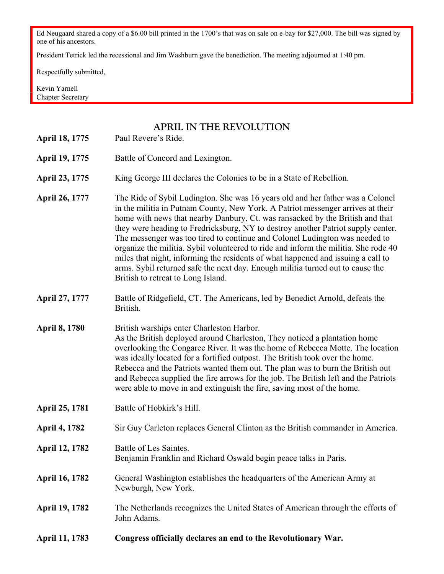Ed Neugaard shared a copy of a \$6.00 bill printed in the 1700's that was on sale on e-bay for \$27,000. The bill was signed by one of his ancestors.

President Tetrick led the recessional and Jim Washburn gave the benediction. The meeting adjourned at 1:40 pm.

Respectfully submitted,

Kevin Yarnell Chapter Secretary

### **APRIL IN THE REVOLUTION**

**April 18, 1775** Paul Revere's Ride.

- April 19, 1775 Battle of Concord and Lexington.
- April 23, 1775 King George III declares the Colonies to be in a State of Rebellion.
- **April 26, 1777** The Ride of Sybil Ludington. She was 16 years old and her father was a Colonel in the militia in Putnam County, New York. A Patriot messenger arrives at their home with news that nearby Danbury, Ct. was ransacked by the British and that they were heading to Fredricksburg, NY to destroy another Patriot supply center. The messenger was too tired to continue and Colonel Ludington was needed to organize the militia. Sybil volunteered to ride and inform the militia. She rode 40 miles that night, informing the residents of what happened and issuing a call to arms. Sybil returned safe the next day. Enough militia turned out to cause the British to retreat to Long Island.
- **April 27, 1777** Battle of Ridgefield, CT. The Americans, led by Benedict Arnold, defeats the British.
- **April 8, 1780** British warships enter Charleston Harbor. As the British deployed around Charleston, They noticed a plantation home overlooking the Congaree River. It was the home of Rebecca Motte. The location was ideally located for a fortified outpost. The British took over the home. Rebecca and the Patriots wanted them out. The plan was to burn the British out and Rebecca supplied the fire arrows for the job. The British left and the Patriots were able to move in and extinguish the fire, saving most of the home.
- April 25, 1781 **Battle of Hobkirk's Hill.**

**April 4, 1782** Sir Guy Carleton replaces General Clinton as the British commander in America.

- April 12, 1782 Battle of Les Saintes. Benjamin Franklin and Richard Oswald begin peace talks in Paris.
- April 16, 1782 General Washington establishes the headquarters of the American Army at Newburgh, New York.
- **April 19, 1782** The Netherlands recognizes the United States of American through the efforts of John Adams.
- **April 11, 1783 Congress officially declares an end to the Revolutionary War.**